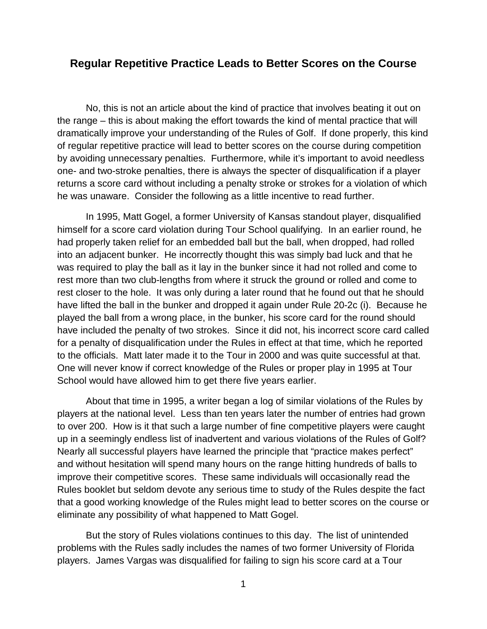## **Regular Repetitive Practice Leads to Better Scores on the Course**

No, this is not an article about the kind of practice that involves beating it out on the range – this is about making the effort towards the kind of mental practice that will dramatically improve your understanding of the Rules of Golf. If done properly, this kind of regular repetitive practice will lead to better scores on the course during competition by avoiding unnecessary penalties. Furthermore, while it's important to avoid needless one- and two-stroke penalties, there is always the specter of disqualification if a player returns a score card without including a penalty stroke or strokes for a violation of which he was unaware. Consider the following as a little incentive to read further.

In 1995, Matt Gogel, a former University of Kansas standout player, disqualified himself for a score card violation during Tour School qualifying. In an earlier round, he had properly taken relief for an embedded ball but the ball, when dropped, had rolled into an adjacent bunker. He incorrectly thought this was simply bad luck and that he was required to play the ball as it lay in the bunker since it had not rolled and come to rest more than two club-lengths from where it struck the ground or rolled and come to rest closer to the hole. It was only during a later round that he found out that he should have lifted the ball in the bunker and dropped it again under Rule 20-2c (i). Because he played the ball from a wrong place, in the bunker, his score card for the round should have included the penalty of two strokes. Since it did not, his incorrect score card called for a penalty of disqualification under the Rules in effect at that time, which he reported to the officials. Matt later made it to the Tour in 2000 and was quite successful at that. One will never know if correct knowledge of the Rules or proper play in 1995 at Tour School would have allowed him to get there five years earlier.

About that time in 1995, a writer began a log of similar violations of the Rules by players at the national level. Less than ten years later the number of entries had grown to over 200. How is it that such a large number of fine competitive players were caught up in a seemingly endless list of inadvertent and various violations of the Rules of Golf? Nearly all successful players have learned the principle that "practice makes perfect" and without hesitation will spend many hours on the range hitting hundreds of balls to improve their competitive scores. These same individuals will occasionally read the Rules booklet but seldom devote any serious time to study of the Rules despite the fact that a good working knowledge of the Rules might lead to better scores on the course or eliminate any possibility of what happened to Matt Gogel.

But the story of Rules violations continues to this day. The list of unintended problems with the Rules sadly includes the names of two former University of Florida players. James Vargas was disqualified for failing to sign his score card at a Tour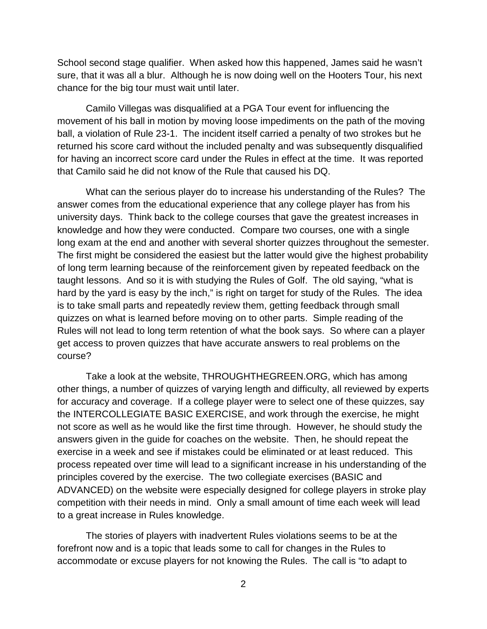School second stage qualifier. When asked how this happened, James said he wasn't sure, that it was all a blur. Although he is now doing well on the Hooters Tour, his next chance for the big tour must wait until later.

Camilo Villegas was disqualified at a PGA Tour event for influencing the movement of his ball in motion by moving loose impediments on the path of the moving ball, a violation of Rule 23-1. The incident itself carried a penalty of two strokes but he returned his score card without the included penalty and was subsequently disqualified for having an incorrect score card under the Rules in effect at the time. It was reported that Camilo said he did not know of the Rule that caused his DQ.

What can the serious player do to increase his understanding of the Rules? The answer comes from the educational experience that any college player has from his university days. Think back to the college courses that gave the greatest increases in knowledge and how they were conducted. Compare two courses, one with a single long exam at the end and another with several shorter quizzes throughout the semester. The first might be considered the easiest but the latter would give the highest probability of long term learning because of the reinforcement given by repeated feedback on the taught lessons. And so it is with studying the Rules of Golf. The old saying, "what is hard by the yard is easy by the inch," is right on target for study of the Rules. The idea is to take small parts and repeatedly review them, getting feedback through small quizzes on what is learned before moving on to other parts. Simple reading of the Rules will not lead to long term retention of what the book says. So where can a player get access to proven quizzes that have accurate answers to real problems on the course?

Take a look at the website, THROUGHTHEGREEN.ORG, which has among other things, a number of quizzes of varying length and difficulty, all reviewed by experts for accuracy and coverage. If a college player were to select one of these quizzes, say the INTERCOLLEGIATE BASIC EXERCISE, and work through the exercise, he might not score as well as he would like the first time through. However, he should study the answers given in the guide for coaches on the website. Then, he should repeat the exercise in a week and see if mistakes could be eliminated or at least reduced. This process repeated over time will lead to a significant increase in his understanding of the principles covered by the exercise. The two collegiate exercises (BASIC and ADVANCED) on the website were especially designed for college players in stroke play competition with their needs in mind. Only a small amount of time each week will lead to a great increase in Rules knowledge.

The stories of players with inadvertent Rules violations seems to be at the forefront now and is a topic that leads some to call for changes in the Rules to accommodate or excuse players for not knowing the Rules. The call is "to adapt to